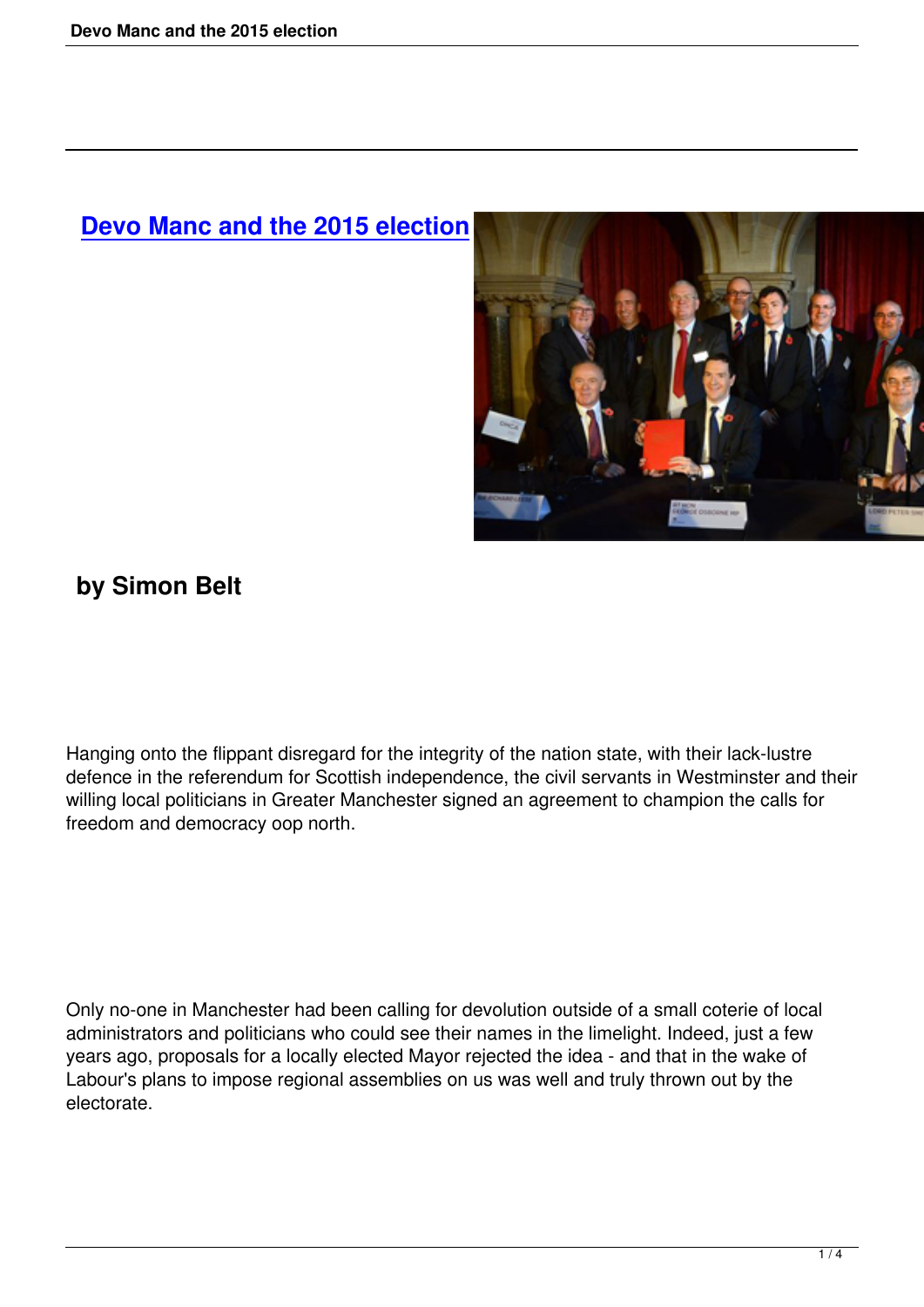## **Devo Manc and the 2015 election**



## **by Simon Belt**

Hanging onto the flippant disregard for the integrity of the nation state, with their lack-lustre defence in the referendum for Scottish independence, the civil servants in Westminster and their willing local politicians in Greater Manchester signed an agreement to champion the calls for freedom and democracy oop north.

Only no-one in Manchester had been calling for devolution outside of a small coterie of local administrators and politicians who could see their names in the limelight. Indeed, just a few years ago, proposals for a locally elected Mayor rejected the idea - and that in the wake of Labour's plans to impose regional assemblies on us was well and truly thrown out by the electorate.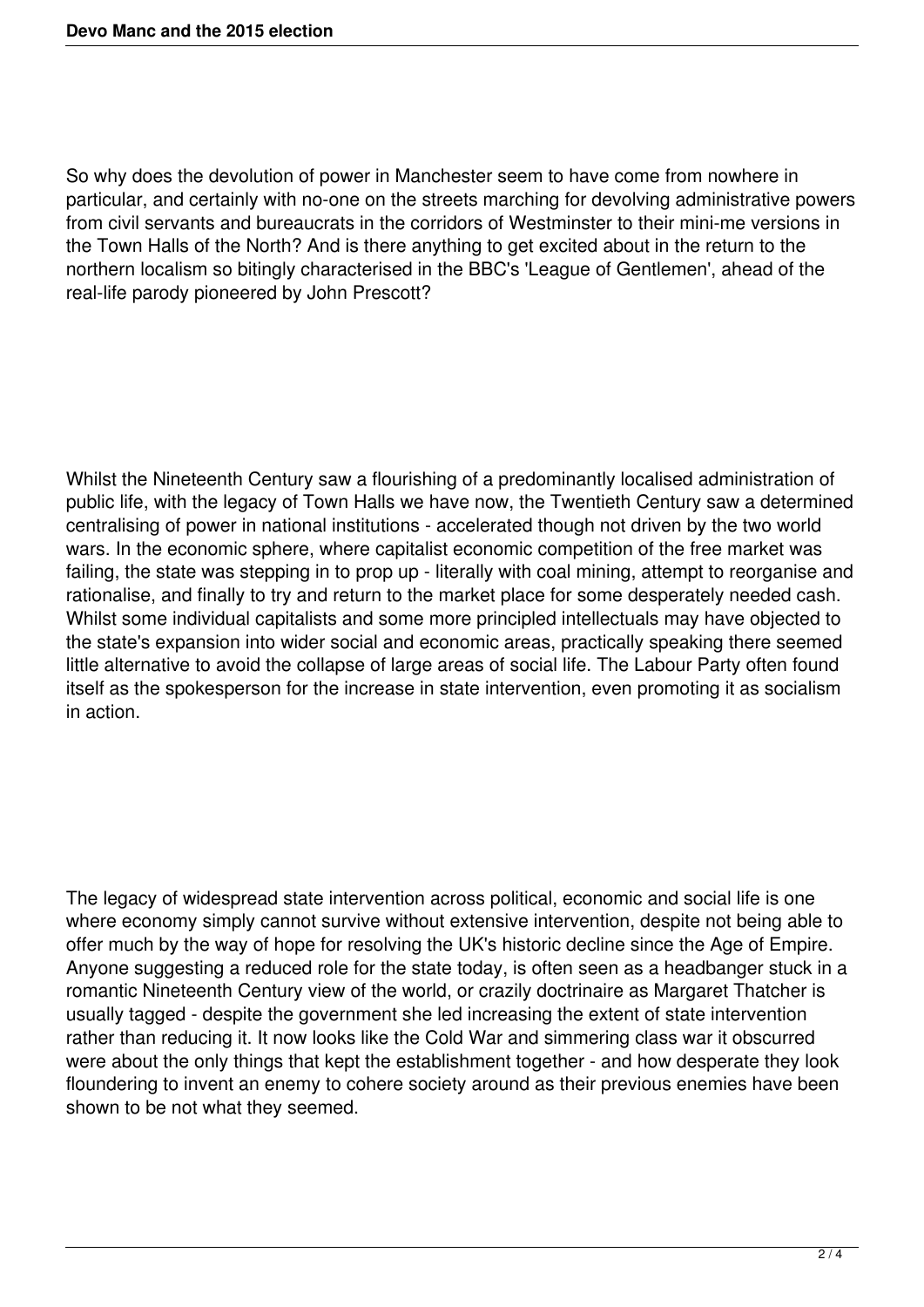So why does the devolution of power in Manchester seem to have come from nowhere in particular, and certainly with no-one on the streets marching for devolving administrative powers from civil servants and bureaucrats in the corridors of Westminster to their mini-me versions in the Town Halls of the North? And is there anything to get excited about in the return to the northern localism so bitingly characterised in the BBC's 'League of Gentlemen', ahead of the real-life parody pioneered by John Prescott?

Whilst the Nineteenth Century saw a flourishing of a predominantly localised administration of public life, with the legacy of Town Halls we have now, the Twentieth Century saw a determined centralising of power in national institutions - accelerated though not driven by the two world wars. In the economic sphere, where capitalist economic competition of the free market was failing, the state was stepping in to prop up - literally with coal mining, attempt to reorganise and rationalise, and finally to try and return to the market place for some desperately needed cash. Whilst some individual capitalists and some more principled intellectuals may have objected to the state's expansion into wider social and economic areas, practically speaking there seemed little alternative to avoid the collapse of large areas of social life. The Labour Party often found itself as the spokesperson for the increase in state intervention, even promoting it as socialism in action.

The legacy of widespread state intervention across political, economic and social life is one where economy simply cannot survive without extensive intervention, despite not being able to offer much by the way of hope for resolving the UK's historic decline since the Age of Empire. Anyone suggesting a reduced role for the state today, is often seen as a headbanger stuck in a romantic Nineteenth Century view of the world, or crazily doctrinaire as Margaret Thatcher is usually tagged - despite the government she led increasing the extent of state intervention rather than reducing it. It now looks like the Cold War and simmering class war it obscurred were about the only things that kept the establishment together - and how desperate they look floundering to invent an enemy to cohere society around as their previous enemies have been shown to be not what they seemed.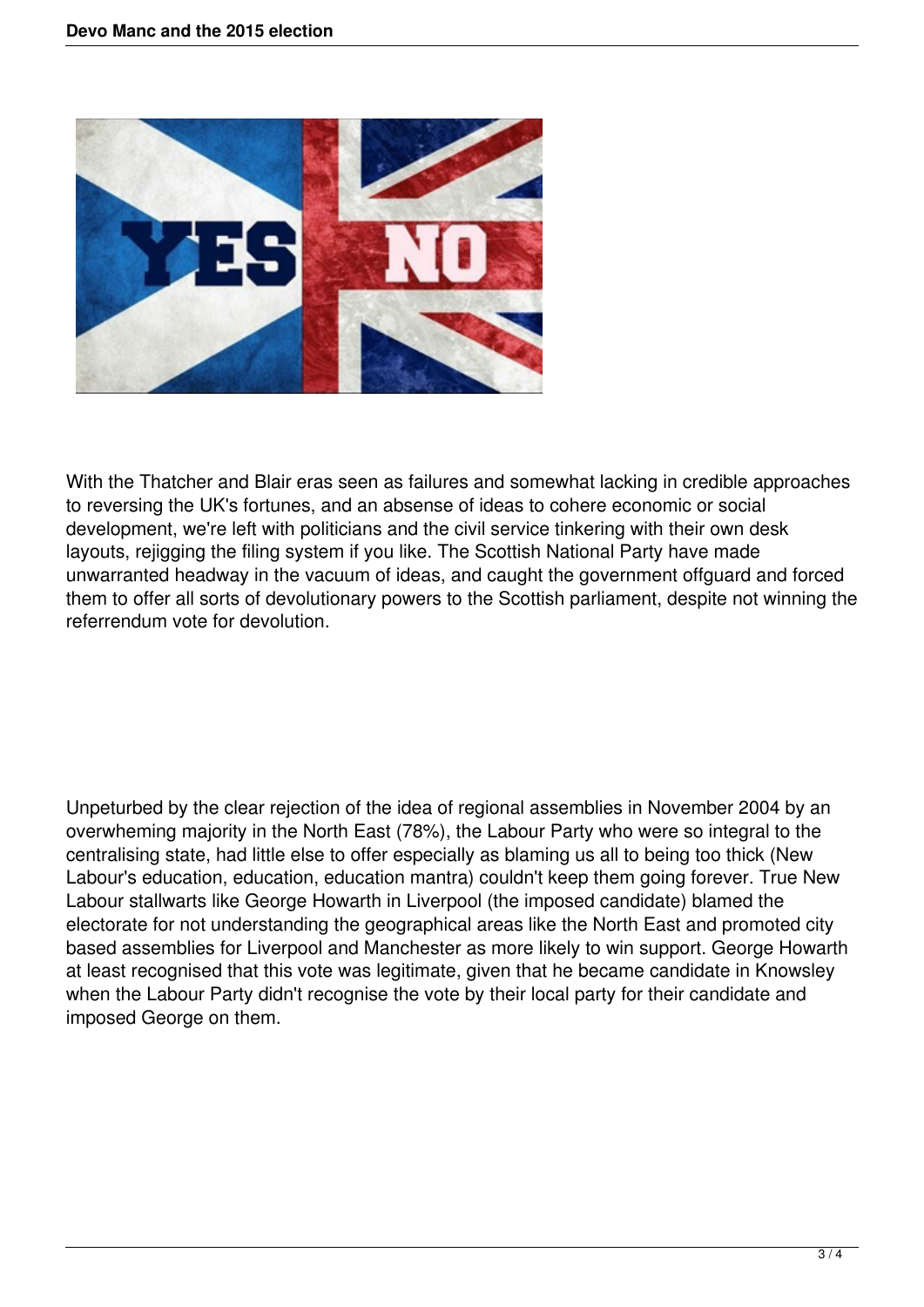

With the Thatcher and Blair eras seen as failures and somewhat lacking in credible approaches to reversing the UK's fortunes, and an absense of ideas to cohere economic or social development, we're left with politicians and the civil service tinkering with their own desk layouts, rejigging the filing system if you like. The Scottish National Party have made unwarranted headway in the vacuum of ideas, and caught the government offguard and forced them to offer all sorts of devolutionary powers to the Scottish parliament, despite not winning the referrendum vote for devolution.

Unpeturbed by the clear rejection of the idea of regional assemblies in November 2004 by an overwheming majority in the North East (78%), the Labour Party who were so integral to the centralising state, had little else to offer especially as blaming us all to being too thick (New Labour's education, education, education mantra) couldn't keep them going forever. True New Labour stallwarts like George Howarth in Liverpool (the imposed candidate) blamed the electorate for not understanding the geographical areas like the North East and promoted city based assemblies for Liverpool and Manchester as more likely to win support. George Howarth at least recognised that this vote was legitimate, given that he became candidate in Knowsley when the Labour Party didn't recognise the vote by their local party for their candidate and imposed George on them.